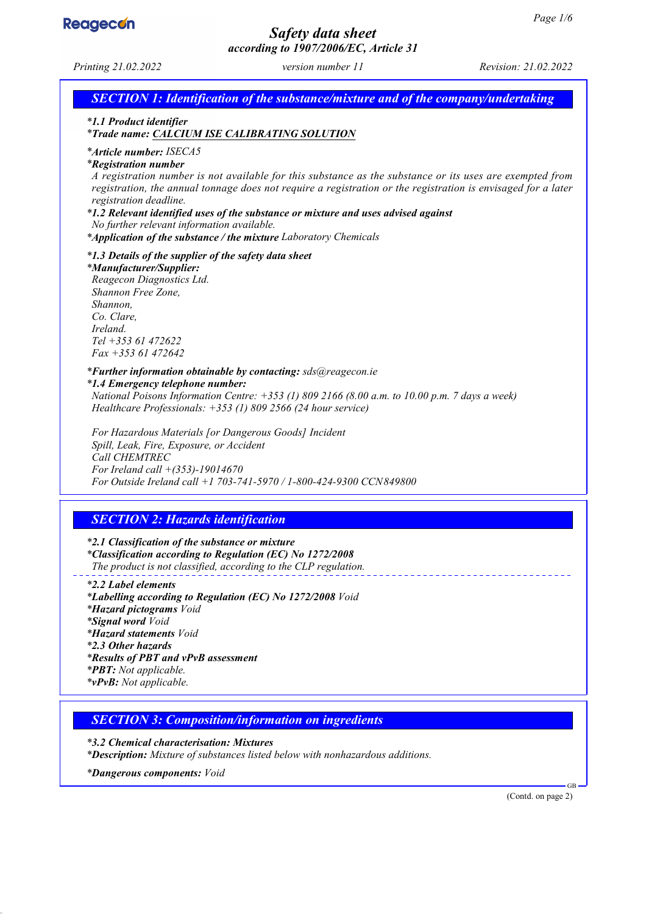

# *Safety data sheet*

*according to 1907/2006/EC, Article 31 Printing 21.02.2022 version number 11 Revision: 21.02.2022 SECTION 1: Identification of the substance/mixture and of the company/undertaking \* 1.1 Product identifier \* Trade name: CALCIUM ISE CALIBRATING SOLUTION \* Article number: ISECA5 \* Registration number A registration number is not available for this substance as the substance or its uses are exempted from registration, the annual tonnage does not require a registration or the registration is envisaged for a later registration deadline. \* 1.2 Relevant identified uses of the substance or mixture and uses advised against No further relevant information available. \* Application of the substance / the mixture Laboratory Chemicals \* 1.3 Details of the supplier of the safety data sheet \* Manufacturer/Supplier: Reagecon Diagnostics Ltd. Shannon Free Zone, Shannon, Co. Clare, Ireland. Tel +353 61 472622 Fax +353 61 472642 \* Further information obtainable by contacting: sds@reagecon.ie \* 1.4 Emergency telephone number: National Poisons Information Centre: +353 (1) 809 2166 (8.00 a.m. to 10.00 p.m. 7 days a week) Healthcare Professionals: +353 (1) 809 2566 (24 hour service) For Hazardous Materials [or Dangerous Goods] Incident Spill, Leak, Fire, Exposure, or Accident Call CHEMTREC For Ireland call +(353)-19014670 For Outside Ireland call +1 703-741-5970 / 1-800-424-9300 CCN849800 SECTION 2: Hazards identification \* 2.1 Classification of the substance or mixture \* Classification according to Regulation (EC) No 1272/2008 The product is not classified, according to the CLP regulation. \* 2.2 Label elements \* Labelling according to Regulation (EC) No 1272/2008 Void \* Hazard pictograms Void \* Signal word Void \* Hazard statements Void \* 2.3 Other hazards \* Results of PBT and vPvB assessment \* PBT: Not applicable. \* vPvB: Not applicable. SECTION 3: Composition/information on ingredients \* 3.2 Chemical characterisation: Mixtures \* Description: Mixture of substances listed below with nonhazardous additions. \* Dangerous components: Void* GB (Contd. on page 2)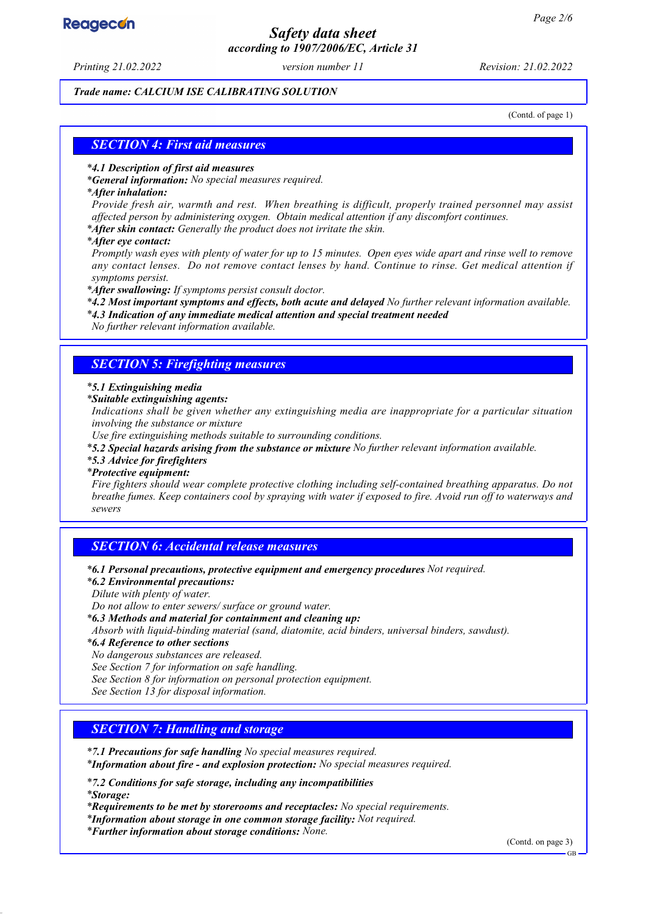# **Reagecon**

# *Safety data sheet according to 1907/2006/EC, Article 31*

*Printing 21.02.2022 version number 11 Revision: 21.02.2022*

#### *Trade name: CALCIUM ISE CALIBRATING SOLUTION*

(Contd. of page 1)

#### *SECTION 4: First aid measures*

#### *\* 4.1 Description of first aid measures*

*\* General information: No special measures required.*

#### *\* After inhalation:*

*Provide fresh air, warmth and rest. When breathing is difficult, properly trained personnel may assist affected person by administering oxygen. Obtain medical attention if any discomfort continues.*

*\* After skin contact: Generally the product does not irritate the skin.*

*\* After eye contact:*

*Promptly wash eyes with plenty of water for up to 15 minutes. Open eyes wide apart and rinse well to remove any contact lenses. Do not remove contact lenses by hand. Continue to rinse. Get medical attention if symptoms persist.*

*\* After swallowing: If symptoms persist consult doctor.*

*\* 4.2 Most important symptoms and effects, both acute and delayed No further relevant information available.*

*\* 4.3 Indication of any immediate medical attention and special treatment needed*

*No further relevant information available.*

#### *SECTION 5: Firefighting measures*

#### *\* 5.1 Extinguishing media*

*\* Suitable extinguishing agents:*

*Indications shall be given whether any extinguishing media are inappropriate for a particular situation involving the substance or mixture*

*Use fire extinguishing methods suitable to surrounding conditions.*

*\* 5.2 Special hazards arising from the substance or mixture No further relevant information available.*

#### *\* 5.3 Advice for firefighters*

#### *\* Protective equipment:*

*Fire fighters should wear complete protective clothing including self-contained breathing apparatus. Do not breathe fumes. Keep containers cool by spraying with water if exposed to fire. Avoid run off to waterways and sewers*

# *SECTION 6: Accidental release measures*

*\* 6.1 Personal precautions, protective equipment and emergency procedures Not required.*

*\* 6.2 Environmental precautions:*

*Dilute with plenty of water.*

*Do not allow to enter sewers/ surface or ground water.*

*\* 6.3 Methods and material for containment and cleaning up:*

*Absorb with liquid-binding material (sand, diatomite, acid binders, universal binders, sawdust).*

*\* 6.4 Reference to other sections*

*No dangerous substances are released.*

*See Section 7 for information on safe handling.*

*See Section 8 for information on personal protection equipment.*

*See Section 13 for disposal information.*

# *SECTION 7: Handling and storage*

*\* 7.1 Precautions for safe handling No special measures required.*

*\* Information about fire - and explosion protection: No special measures required.*

*\* 7.2 Conditions for safe storage, including any incompatibilities \* Storage:*

*\* Requirements to be met by storerooms and receptacles: No special requirements.*

*\* Information about storage in one common storage facility: Not required.*

*\* Further information about storage conditions: None.*

(Contd. on page 3)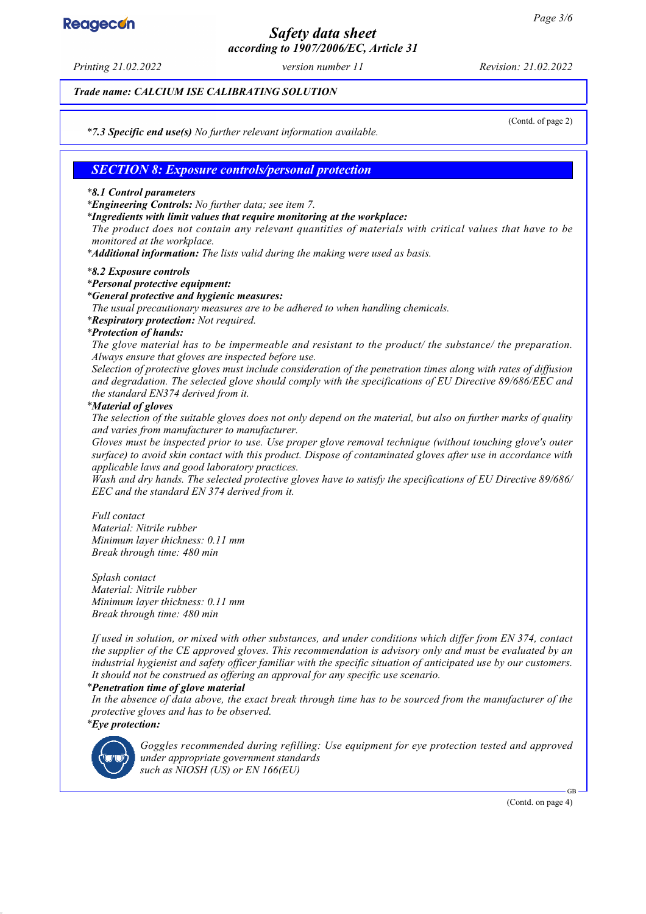# **Reagecon**

# *Safety data sheet according to 1907/2006/EC, Article 31*

*Printing 21.02.2022 version number 11 Revision: 21.02.2022*

*Trade name: CALCIUM ISE CALIBRATING SOLUTION*

(Contd. of page 2)

*\* 7.3 Specific end use(s) No further relevant information available.*

# *SECTION 8: Exposure controls/personal protection*

#### *\* 8.1 Control parameters*

*\* Engineering Controls: No further data; see item 7.*

*\* Ingredients with limit values that require monitoring at the workplace:*

*The product does not contain any relevant quantities of materials with critical values that have to be monitored at the workplace.*

*\* Additional information: The lists valid during the making were used as basis.*

#### *\* 8.2 Exposure controls*

#### *\* Personal protective equipment:*

#### *\* General protective and hygienic measures:*

*The usual precautionary measures are to be adhered to when handling chemicals.*

*\* Respiratory protection: Not required.*

#### *\* Protection of hands:*

*The glove material has to be impermeable and resistant to the product/ the substance/ the preparation. Always ensure that gloves are inspected before use.*

*Selection of protective gloves must include consideration of the penetration times along with rates of diffusion and degradation. The selected glove should comply with the specifications of EU Directive 89/686/EEC and the standard EN374 derived from it.*

#### *\* Material of gloves*

*The selection of the suitable gloves does not only depend on the material, but also on further marks of quality and varies from manufacturer to manufacturer.*

*Gloves must be inspected prior to use. Use proper glove removal technique (without touching glove's outer surface) to avoid skin contact with this product. Dispose of contaminated gloves after use in accordance with applicable laws and good laboratory practices.*

*Wash and dry hands. The selected protective gloves have to satisfy the specifications of EU Directive 89/686/ EEC and the standard EN 374 derived from it.*

*Full contact Material: Nitrile rubber Minimum layer thickness: 0.11 mm Break through time: 480 min*

*Splash contact Material: Nitrile rubber Minimum layer thickness: 0.11 mm Break through time: 480 min*

*If used in solution, or mixed with other substances, and under conditions which differ from EN 374, contact the supplier of the CE approved gloves. This recommendation is advisory only and must be evaluated by an industrial hygienist and safety officer familiar with the specific situation of anticipated use by our customers. It should not be construed as offering an approval for any specific use scenario.*

#### *\* Penetration time of glove material*

*In the absence of data above, the exact break through time has to be sourced from the manufacturer of the protective gloves and has to be observed. \* Eye protection:*



*Goggles recommended during refilling: Use equipment for eye protection tested and approved under appropriate government standards such as NIOSH (US) or EN 166(EU)*

(Contd. on page 4)

GB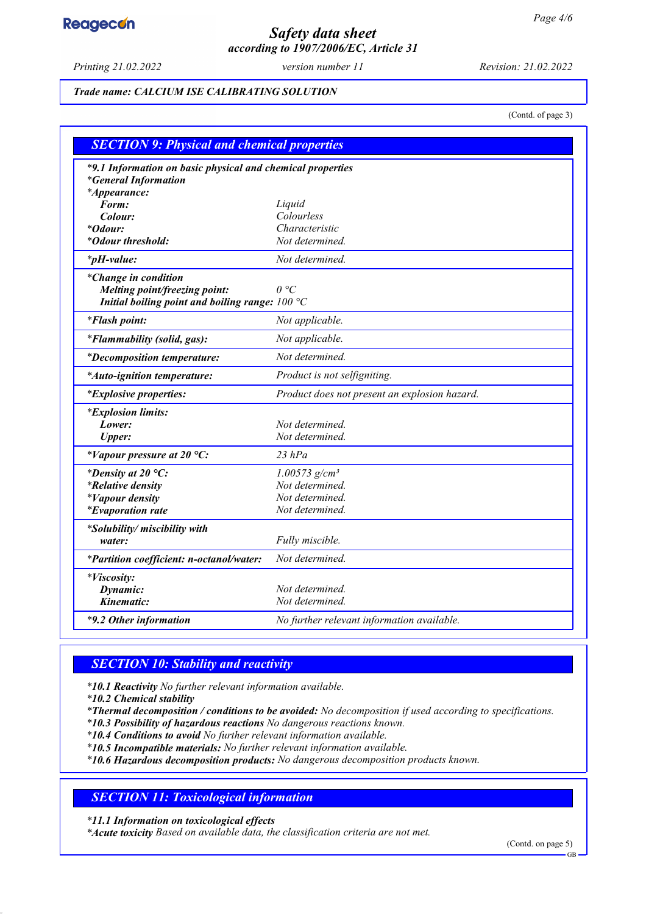# **Reagecon**

# *Safety data sheet according to 1907/2006/EC, Article 31*

*Printing 21.02.2022 version number 11 Revision: 21.02.2022*

#### *Trade name: CALCIUM ISE CALIBRATING SOLUTION*

(Contd. of page 3)

| <b>SECTION 9: Physical and chemical properties</b>                                                                |                                               |  |
|-------------------------------------------------------------------------------------------------------------------|-----------------------------------------------|--|
| *9.1 Information on basic physical and chemical properties<br><i>*General Information</i><br>*Appearance:         |                                               |  |
| Form:                                                                                                             | Liquid                                        |  |
| Colour:                                                                                                           | Colourless                                    |  |
| <i>*Odour:</i>                                                                                                    | Characteristic                                |  |
| *Odour threshold:                                                                                                 | Not determined.                               |  |
| $*_{p}H$ -value:                                                                                                  | Not determined.                               |  |
| <i>*Change in condition</i><br>Melting point/freezing point:<br>Initial boiling point and boiling range: $100 °C$ | $\theta$ °C                                   |  |
| <i>*Flash point:</i>                                                                                              | Not applicable.                               |  |
| <i>*Flammability (solid, gas):</i>                                                                                | Not applicable.                               |  |
| <i>*Decomposition temperature:</i>                                                                                | Not determined.                               |  |
| <i>*Auto-ignition temperature:</i>                                                                                | Product is not selfigniting.                  |  |
| <i>*Explosive properties:</i>                                                                                     | Product does not present an explosion hazard. |  |
| <i>*Explosion limits:</i>                                                                                         |                                               |  |
| Lower:                                                                                                            | Not determined.                               |  |
| <b>Upper:</b>                                                                                                     | Not determined.                               |  |
| *Vapour pressure at 20 °C:                                                                                        | $23$ hPa                                      |  |
| *Density at 20 $^{\circ}C$ :                                                                                      | $1.00573$ g/cm <sup>3</sup>                   |  |
| <i>*Relative density</i>                                                                                          | Not determined.                               |  |
| <i>*Vapour density</i>                                                                                            | Not determined.                               |  |
| <i>*Evaporation rate</i>                                                                                          | Not determined.                               |  |
| *Solubility/ miscibility with                                                                                     |                                               |  |
| water:                                                                                                            | Fully miscible.                               |  |
| *Partition coefficient: n-octanol/water:                                                                          | Not determined.                               |  |
| <i>*Viscosity:</i>                                                                                                |                                               |  |
| Dynamic:                                                                                                          | Not determined.                               |  |
| Kinematic:                                                                                                        | Not determined.                               |  |
| *9.2 Other information                                                                                            | No further relevant information available.    |  |

# *SECTION 10: Stability and reactivity*

*\* 10.1 Reactivity No further relevant information available.*

*\* 10.2 Chemical stability*

*\* Thermal decomposition / conditions to be avoided: No decomposition if used according to specifications.*

*\* 10.3 Possibility of hazardous reactions No dangerous reactions known.*

*\* 10.4 Conditions to avoid No further relevant information available.*

*\* 10.5 Incompatible materials: No further relevant information available.*

*\* 10.6 Hazardous decomposition products: No dangerous decomposition products known.*

# *SECTION 11: Toxicological information*

*\* 11.1 Information on toxicological effects*

*\* Acute toxicity Based on available data, the classification criteria are not met.*

(Contd. on page 5)

GB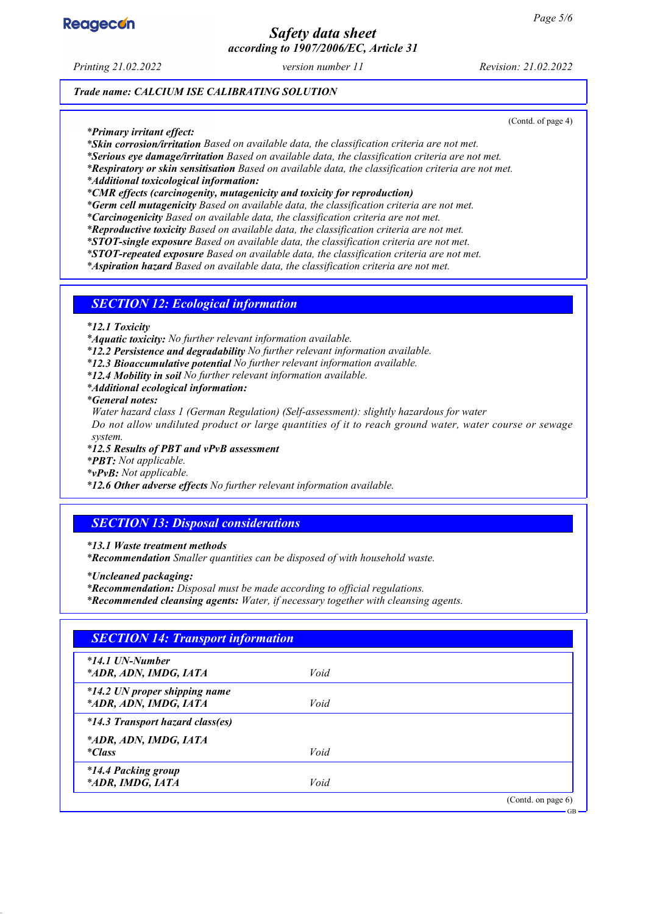

# *Safety data sheet according to 1907/2006/EC, Article 31*

*Printing 21.02.2022 version number 11 Revision: 21.02.2022*

(Contd. of page 4)

GB

*Trade name: CALCIUM ISE CALIBRATING SOLUTION*

*\* Primary irritant effect:*

*\* Skin corrosion/irritation Based on available data, the classification criteria are not met.*

*\* Serious eye damage/irritation Based on available data, the classification criteria are not met.*

*\* Respiratory or skin sensitisation Based on available data, the classification criteria are not met.*

*\* Additional toxicological information:*

*\* CMR effects (carcinogenity, mutagenicity and toxicity for reproduction)*

*\* Germ cell mutagenicity Based on available data, the classification criteria are not met.*

*\* Carcinogenicity Based on available data, the classification criteria are not met.*

*\* Reproductive toxicity Based on available data, the classification criteria are not met.*

*\* STOT-single exposure Based on available data, the classification criteria are not met.*

*\* STOT-repeated exposure Based on available data, the classification criteria are not met.*

*\* Aspiration hazard Based on available data, the classification criteria are not met.*

#### *SECTION 12: Ecological information*

*\* 12.1 Toxicity*

*\* Aquatic toxicity: No further relevant information available.*

*\* 12.2 Persistence and degradability No further relevant information available.*

*\* 12.3 Bioaccumulative potential No further relevant information available.*

*\* 12.4 Mobility in soil No further relevant information available.*

*\* Additional ecological information:*

*\* General notes:*

*Water hazard class 1 (German Regulation) (Self-assessment): slightly hazardous for water*

*Do not allow undiluted product or large quantities of it to reach ground water, water course or sewage system.*

*\* 12.5 Results of PBT and vPvB assessment*

*\* PBT: Not applicable.*

*\* vPvB: Not applicable.*

*\* 12.6 Other adverse effects No further relevant information available.*

# *SECTION 13: Disposal considerations*

*\* 13.1 Waste treatment methods*

*\* Recommendation Smaller quantities can be disposed of with household waste.*

*\* Uncleaned packaging:*

*\* Recommendation: Disposal must be made according to official regulations.*

*\* Recommended cleansing agents: Water, if necessary together with cleansing agents.*

| <b>SECTION 14: Transport information</b>               |      |                    |
|--------------------------------------------------------|------|--------------------|
| $*14.1$ UN-Number<br>*ADR, ADN, IMDG, IATA             | Void |                    |
| *14.2 UN proper shipping name<br>*ADR, ADN, IMDG, IATA | Void |                    |
| <i>*14.3 Transport hazard class(es)</i>                |      |                    |
| *ADR, ADN, IMDG, IATA<br><i>*Class</i>                 | Void |                    |
| <i>*14.4 Packing group</i><br>*ADR, IMDG, IATA         | Void |                    |
|                                                        |      | (Contd. on page 6) |